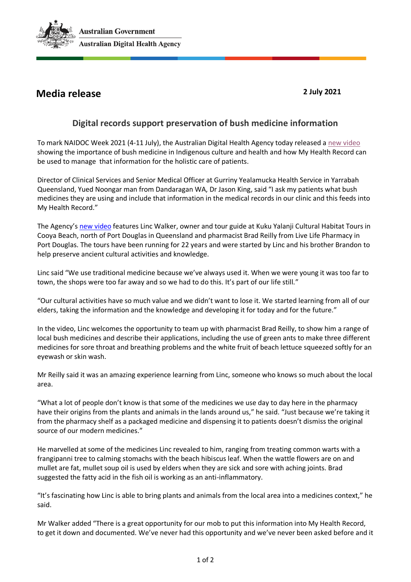

## **Media release 2 July 2021**

## **Digital records support preservation of bush medicine information**

To mark NAIDOC Week 2021 (4-11 July), the Australian Digital Health Agency today released a [new video](https://youtu.be/0f91aLHbU2U) showing the importance of bush medicine in Indigenous culture and health and how My Health Record can be used to manage that information for the holistic care of patients.

Director of Clinical Services and Senior Medical Officer at Gurriny Yealamucka Health Service in Yarrabah Queensland, Yued Noongar man from Dandaragan WA, Dr Jason King, said "I ask my patients what bush medicines they are using and include that information in the medical records in our clinic and this feeds into My Health Record."

The Agency's [new video](https://youtu.be/0f91aLHbU2U) features Linc Walker, owner and tour guide at Kuku Yalanji Cultural Habitat Tours in Cooya Beach, north of Port Douglas in Queensland and pharmacist Brad Reilly from Live Life Pharmacy in Port Douglas. The tours have been running for 22 years and were started by Linc and his brother Brandon to help preserve ancient cultural activities and knowledge.

Linc said "We use traditional medicine because we've always used it. When we were young it was too far to town, the shops were too far away and so we had to do this. It's part of our life still."

"Our cultural activities have so much value and we didn't want to lose it. We started learning from all of our elders, taking the information and the knowledge and developing it for today and for the future."

In the video, Linc welcomes the opportunity to team up with pharmacist Brad Reilly, to show him a range of local bush medicines and describe their applications, including the use of green ants to make three different medicines for sore throat and breathing problems and the white fruit of beach lettuce squeezed softly for an eyewash or skin wash.

Mr Reilly said it was an amazing experience learning from Linc, someone who knows so much about the local area.

"What a lot of people don't know is that some of the medicines we use day to day here in the pharmacy have their origins from the plants and animals in the lands around us," he said. "Just because we're taking it from the pharmacy shelf as a packaged medicine and dispensing it to patients doesn't dismiss the original source of our modern medicines."

He marvelled at some of the medicines Linc revealed to him, ranging from treating common warts with a frangipanni tree to calming stomachs with the beach hibiscus leaf. When the wattle flowers are on and mullet are fat, mullet soup oil is used by elders when they are sick and sore with aching joints. Brad suggested the fatty acid in the fish oil is working as an anti-inflammatory.

"It's fascinating how Linc is able to bring plants and animals from the local area into a medicines context," he said.

Mr Walker added "There is a great opportunity for our mob to put this information into My Health Record, to get it down and documented. We've never had this opportunity and we've never been asked before and it